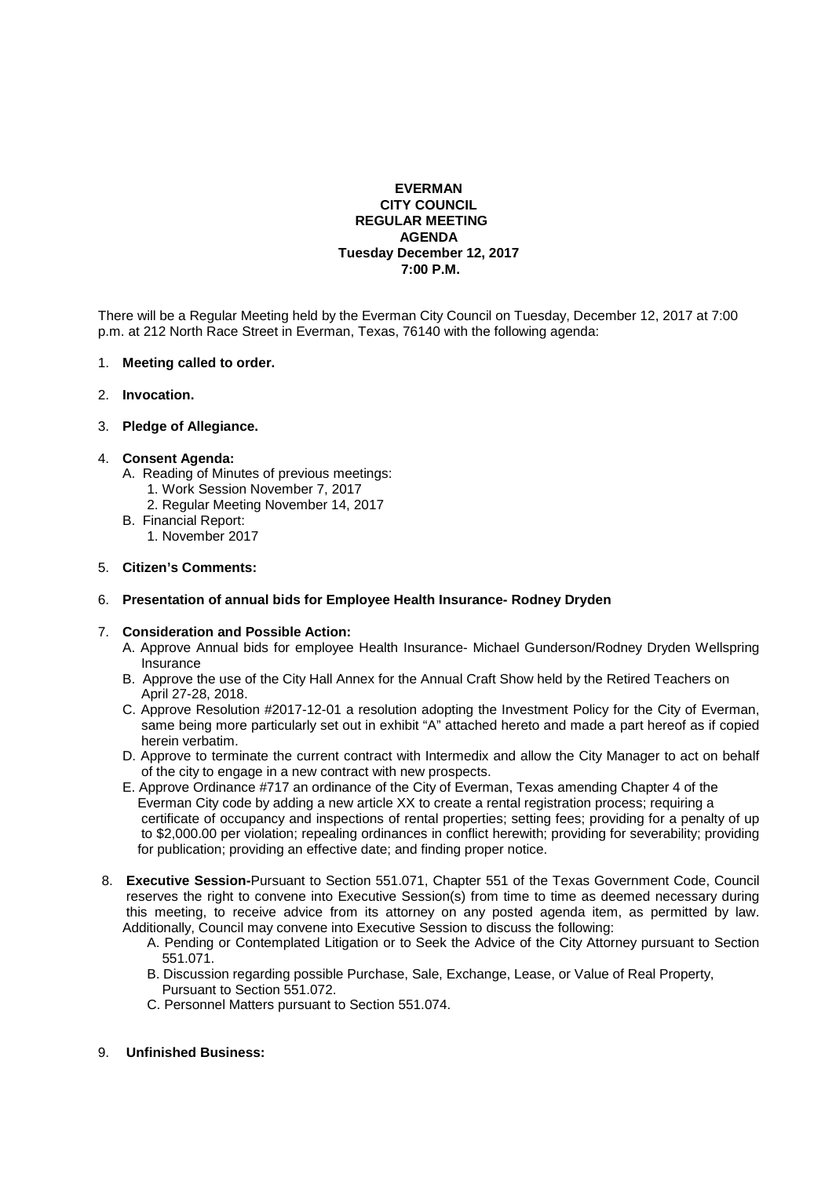### **EVERMAN CITY COUNCIL REGULAR MEETING AGENDA Tuesday December 12, 2017 7:00 P.M.**

There will be a Regular Meeting held by the Everman City Council on Tuesday, December 12, 2017 at 7:00 p.m. at 212 North Race Street in Everman, Texas, 76140 with the following agenda:

#### 1. **Meeting called to order.**

2. **Invocation.** 

## 3. **Pledge of Allegiance.**

## 4. **Consent Agenda:**

- A. Reading of Minutes of previous meetings:
	- 1. Work Session November 7, 2017
	- 2. Regular Meeting November 14, 2017
- B. Financial Report:
- 1. November 2017

## 5. **Citizen's Comments:**

# 6. **Presentation of annual bids for Employee Health Insurance- Rodney Dryden**

# 7. **Consideration and Possible Action:**

- A. Approve Annual bids for employee Health Insurance- Michael Gunderson/Rodney Dryden Wellspring Insurance
- B. Approve the use of the City Hall Annex for the Annual Craft Show held by the Retired Teachers on April 27-28, 2018.
- C. Approve Resolution #2017-12-01 a resolution adopting the Investment Policy for the City of Everman, same being more particularly set out in exhibit "A" attached hereto and made a part hereof as if copied herein verbatim.
- D. Approve to terminate the current contract with Intermedix and allow the City Manager to act on behalf of the city to engage in a new contract with new prospects.
- E. Approve Ordinance #717 an ordinance of the City of Everman, Texas amending Chapter 4 of the Everman City code by adding a new article XX to create a rental registration process; requiring a certificate of occupancy and inspections of rental properties; setting fees; providing for a penalty of up to \$2,000.00 per violation; repealing ordinances in conflict herewith; providing for severability; providing for publication; providing an effective date; and finding proper notice.
- 8. **Executive Session-**Pursuant to Section 551.071, Chapter 551 of the Texas Government Code, Council reserves the right to convene into Executive Session(s) from time to time as deemed necessary during this meeting, to receive advice from its attorney on any posted agenda item, as permitted by law. Additionally, Council may convene into Executive Session to discuss the following:
	- A. Pending or Contemplated Litigation or to Seek the Advice of the City Attorney pursuant to Section 551.071.
	- B. Discussion regarding possible Purchase, Sale, Exchange, Lease, or Value of Real Property, Pursuant to Section 551.072.
	- C. Personnel Matters pursuant to Section 551.074.

#### 9. **Unfinished Business:**